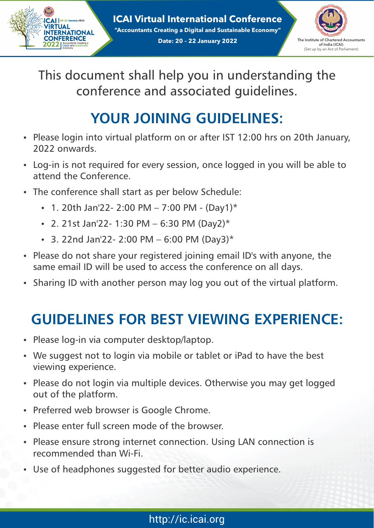$|CA|$  20-22 January 2022 **VIRTUAL INTERNATIONAL CONFERENCE** 2022 | Accountant

**ICAI Virtual International Conference "Accountants Creating a Digital and Sustainable Economy" Date: 20 - 22 January 2022** The Institute of Chartered Accountants



This document shall help you in understanding the conference and associated guidelines.

## **YOUR JOINING GUIDELINES:**

- Please login into virtual platform on or after IST 12:00 hrs on 20th January, 2022 onwards.
- Log-in is not required for every session, once logged in you will be able to attend the Conference.
- The conference shall start as per below Schedule:
	- 1. 20th Jan'22- 2:00 PM 7:00 PM (Day1)\*
	- 2. 21st Jan'22- 1:30 PM 6:30 PM (Day2)\*
	- $\cdot$  3. 22nd Jan'22- 2:00 PM 6:00 PM (Day3)\*
- Please do not share your registered joining email ID's with anyone, the same email ID will be used to access the conference on all days.
- Sharing ID with another person may log you out of the virtual platform.

## **GUIDELINES FOR BEST VIEWING EXPERIENCE:**

- Please log-in via computer desktop/laptop.
- We suggest not to login via mobile or tablet or iPad to have the best viewing experience.
- Please do not login via multiple devices. Otherwise you may get logged out of the platform.
- Preferred web browser is Google Chrome.
- Please enter full screen mode of the browser.
- Please ensure strong internet connection. Using LAN connection is recommended than Wi-Fi.
- Use of headphones suggested for better audio experience.

### http://ic.icai.org